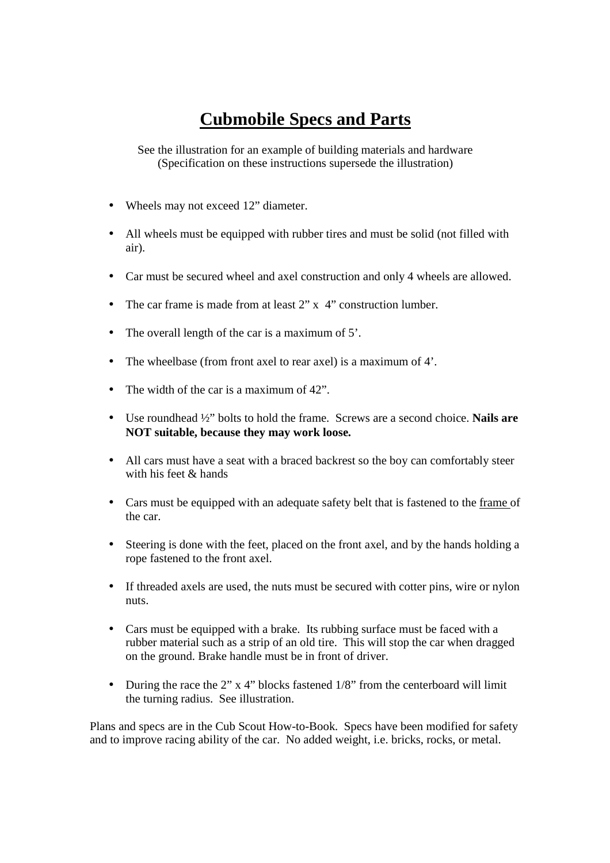## **Cubmobile Specs and Parts**

See the illustration for an example of building materials and hardware (Specification on these instructions supersede the illustration)

- Wheels may not exceed 12" diameter.
- All wheels must be equipped with rubber tires and must be solid (not filled with air).
- Car must be secured wheel and axel construction and only 4 wheels are allowed.
- The car frame is made from at least 2" x 4" construction lumber.
- The overall length of the car is a maximum of 5'.
- The wheelbase (from front axel to rear axel) is a maximum of 4'.
- The width of the car is a maximum of 42".
- Use roundhead ½" bolts to hold the frame. Screws are a second choice. **Nails are NOT suitable, because they may work loose.**
- All cars must have a seat with a braced backrest so the boy can comfortably steer with his feet & hands
- Cars must be equipped with an adequate safety belt that is fastened to the frame of the car.
- Steering is done with the feet, placed on the front axel, and by the hands holding a rope fastened to the front axel.
- If threaded axels are used, the nuts must be secured with cotter pins, wire or nylon nuts.
- Cars must be equipped with a brake. Its rubbing surface must be faced with a rubber material such as a strip of an old tire. This will stop the car when dragged on the ground. Brake handle must be in front of driver.
- During the race the 2"  $\times$  4" blocks fastened 1/8" from the centerboard will limit the turning radius. See illustration.

Plans and specs are in the Cub Scout How-to-Book. Specs have been modified for safety and to improve racing ability of the car. No added weight, i.e. bricks, rocks, or metal.